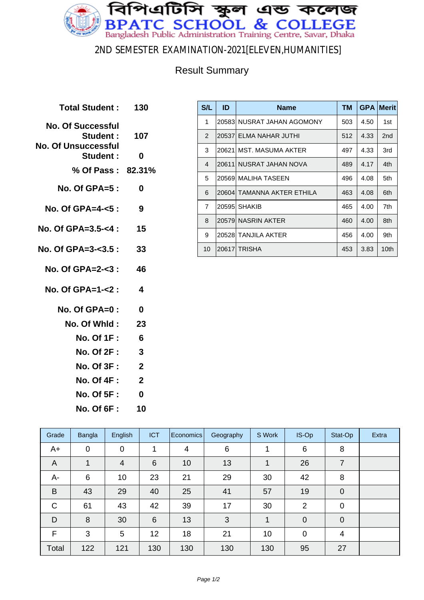

#### 2ND SEMESTER EXAMINATION-2021[ELEVEN,HUMANITIES]

### Result Summary

| Total Student: 130                     |                         |
|----------------------------------------|-------------------------|
| <b>No. Of Successful</b><br>Student:   | 107                     |
| <b>No. Of Unsuccessful</b><br>Student: | 0                       |
| % Of Pass: 82.31%                      |                         |
| $No. Of GPA = 5:$                      | 0                       |
| No. Of GPA=4-<5:                       | 9                       |
| No. Of GPA=3.5-<4 :                    | 15                      |
| No. Of GPA=3-<3.5 :                    | 33                      |
| No. Of $GPA = 2 - 3$ :                 | 46                      |
| No. Of GPA=1-<2 :                      | $\boldsymbol{4}$        |
| No. Of GPA=0 :                         | 0                       |
| No. Of Whid :                          | 23                      |
| <b>No. Of 1F :</b>                     | 6                       |
| <b>No. Of 2F:</b>                      | 3                       |
| <b>No. Of 3F:</b>                      | $\overline{\mathbf{2}}$ |
| No. Of 4F :                            | $\overline{2}$          |
| <b>No. Of 5F:</b>                      | 0                       |
| <b>No. Of 6F :</b>                     | 10                      |
|                                        |                         |

| S/L            | ID    | <b>Name</b>                | <b>TM</b> | <b>GPA</b> | <b>Merit</b>    |
|----------------|-------|----------------------------|-----------|------------|-----------------|
| 1              | 20583 | NUSRAT JAHAN AGOMONY       | 503       | 4.50       | 1st             |
| $\mathcal{P}$  |       | 20537 ELMA NAHAR JUTHI     | 512       | 4.33       | 2 <sub>nd</sub> |
| 3              |       | 20621 MST, MASUMA AKTER    | 497       | 4.33       | 3rd             |
| $\overline{4}$ | 20611 | NUSRAT JAHAN NOVA          | 489       | 4.17       | 4th             |
| 5              | 20569 | I MALIHA TASEEN            | 496       | 4.08       | 5th             |
| 6              |       | 20604 TAMANNA AKTER ETHILA | 463       | 4.08       | 6th             |
| $\overline{7}$ | 20595 | <b>SHAKIB</b>              | 465       | 4.00       | 7th             |
| 8              |       | 20579 NASRIN AKTER         | 460       | 4.00       | 8th             |
| 9              |       | 20528 TANJILA AKTER        | 456       | 4.00       | 9th             |
| 10             |       | 20617 TRISHA               | 453       | 3.83       | 10th            |

| Grade | Bangla      | English        | <b>ICT</b> | Economics | Geography | S Work | IS-Op          | Stat-Op     | Extra |
|-------|-------------|----------------|------------|-----------|-----------|--------|----------------|-------------|-------|
| $A+$  | $\mathbf 0$ | 0              |            | 4         | 6         |        | 6              | 8           |       |
| A     | 1           | $\overline{4}$ | 6          | 10        | 13        |        | 26             | 7           |       |
| A-    | 6           | 10             | 23         | 21        | 29        | 30     | 42             | 8           |       |
| B     | 43          | 29             | 40         | 25        | 41        | 57     | 19             | $\mathbf 0$ |       |
| C     | 61          | 43             | 42         | 39        | 17        | 30     | $\overline{2}$ | $\mathbf 0$ |       |
| D     | 8           | 30             | 6          | 13        | 3         |        | $\mathbf 0$    | $\Omega$    |       |
| F     | 3           | 5              | 12         | 18        | 21        | 10     | 0              | 4           |       |
| Total | 122         | 121            | 130        | 130       | 130       | 130    | 95             | 27          |       |